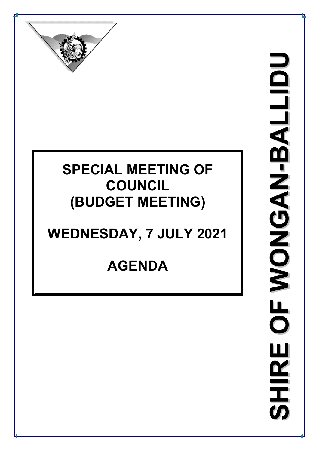

## **SPECIAL MEETING OF COUNCIL (BUDGET MEETING)**

# **WEDNESDAY, 7 JULY 2021**

# **AGENDA**

**S H I R I R E O F W O N G A N - B - B A L L I D I D U**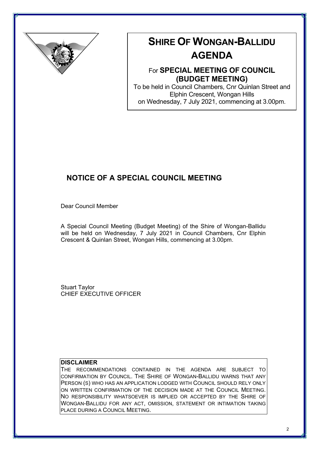

## **SHIRE OF WONGAN-BALLIDU**

## **AGENDA**

### For **SPECIAL MEETING OF COUNCIL (BUDGET MEETING)**

To be held in Council Chambers, Cnr Quinlan Street and Elphin Crescent, Wongan Hills on Wednesday, 7 July 2021, commencing at 3.00pm.

### **NOTICE OF A SPECIAL COUNCIL MEETING**

Dear Council Member

A Special Council Meeting (Budget Meeting) of the Shire of Wongan-Ballidu will be held on Wednesday, 7 July 2021 in Council Chambers, Cnr Elphin Crescent & Quinlan Street, Wongan Hills, commencing at 3.00pm.

Stuart Taylor CHIEF EXECUTIVE OFFICER

#### **DISCLAIMER**

THE RECOMMENDATIONS CONTAINED IN THE AGENDA ARE SUBJECT TO CONFIRMATION BY COUNCIL. THE SHIRE OF WONGAN-BALLIDU WARNS THAT ANY PERSON (S) WHO HAS AN APPLICATION LODGED WITH COUNCIL SHOULD RELY ONLY ON WRITTEN CONFIRMATION OF THE DECISION MADE AT THE COUNCIL MEETING. NO RESPONSIBILITY WHATSOEVER IS IMPLIED OR ACCEPTED BY THE SHIRE OF WONGAN-BALLIDU FOR ANY ACT, OMISSION, STATEMENT OR INTIMATION TAKING PLACE DURING A COUNCIL MEETING.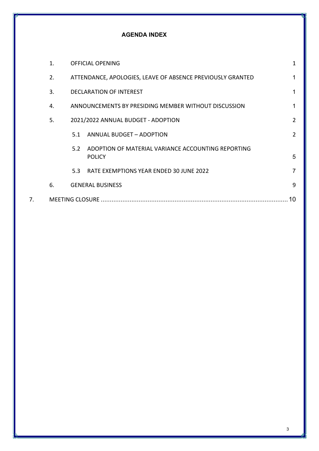#### **AGENDA INDEX**

|    | $\mathbf{1}$ .         |     | <b>OFFICIAL OPENING</b>                                             | 1  |
|----|------------------------|-----|---------------------------------------------------------------------|----|
|    | 2.                     |     | ATTENDANCE, APOLOGIES, LEAVE OF ABSENCE PREVIOUSLY GRANTED          | 1  |
|    | 3.                     |     | <b>DECLARATION OF INTEREST</b>                                      |    |
|    | 4.                     |     | ANNOUNCEMENTS BY PRESIDING MEMBER WITHOUT DISCUSSION                |    |
|    | 5.                     |     | 2021/2022 ANNUAL BUDGET - ADOPTION                                  | 2  |
|    |                        | 5.1 | ANNUAL BUDGET - ADOPTION                                            | 2  |
|    |                        | 5.2 | ADOPTION OF MATERIAL VARIANCE ACCOUNTING REPORTING<br><b>POLICY</b> | 5  |
|    |                        | 5.3 | RATE EXEMPTIONS YEAR ENDED 30 JUNE 2022                             | 7  |
|    | 6.                     |     | <b>GENERAL BUSINESS</b>                                             | 9  |
| 7. | <b>MEETING CLOSURE</b> |     |                                                                     | 10 |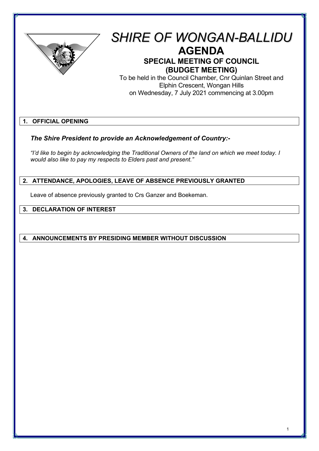

## *SHIRE OF WONGAN-BALLIDU* **AGENDA SPECIAL MEETING OF COUNCIL (BUDGET MEETING)**

To be held in the Council Chamber, Cnr Quinlan Street and Elphin Crescent, Wongan Hills on Wednesday, 7 July 2021 commencing at 3.00pm

#### **1. OFFICIAL OPENING**

#### *The Shire President to provide an Acknowledgement of Country:-*

*"I'd like to begin by acknowledging the Traditional Owners of the land on which we meet today. I would also like to pay my respects to Elders past and present."*

#### **2. ATTENDANCE, APOLOGIES, LEAVE OF ABSENCE PREVIOUSLY GRANTED**

Leave of absence previously granted to Crs Ganzer and Boekeman.

#### **3. DECLARATION OF INTEREST**

#### **4. ANNOUNCEMENTS BY PRESIDING MEMBER WITHOUT DISCUSSION**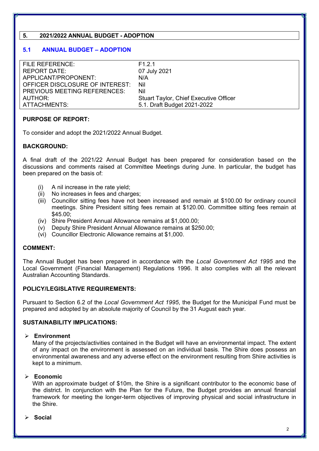#### **5. 2021/2022 ANNUAL BUDGET - ADOPTION**

#### **5.1 ANNUAL BUDGET – ADOPTION**

| <b>FILE REFERENCE:</b>              | F <sub>1</sub> 2 1                            |
|-------------------------------------|-----------------------------------------------|
| <b>REPORT DATE:</b>                 | 07 July 2021                                  |
| APPLICANT/PROPONENT:                | N/A                                           |
| OFFICER DISCLOSURE OF INTEREST:     | Nil                                           |
| <b>PREVIOUS MEETING REFERENCES:</b> | Nil                                           |
| AUTHOR:                             | <b>Stuart Taylor, Chief Executive Officer</b> |
| ATTACHMENTS:                        | 5.1. Draft Budget 2021-2022                   |

#### **PURPOSE OF REPORT:**

To consider and adopt the 2021/2022 Annual Budget.

#### **BACKGROUND:**

A final draft of the 2021/22 Annual Budget has been prepared for consideration based on the discussions and comments raised at Committee Meetings during June. In particular, the budget has been prepared on the basis of:

- (i) A nil increase in the rate yield;
- (ii) No increases in fees and charges;
- (iii) Councillor sitting fees have not been increased and remain at \$100.00 for ordinary council meetings. Shire President sitting fees remain at \$120.00. Committee sitting fees remain at \$45.00;
- (iv) Shire President Annual Allowance remains at \$1,000.00;
- $\overrightarrow{(v)}$  Deputy Shire President Annual Allowance remains at \$250.00;
- (vi) Councillor Electronic Allowance remains at \$1,000.

#### **COMMENT:**

The Annual Budget has been prepared in accordance with the *Local Government Act 1995* and the Local Government (Financial Management) Regulations 1996. It also complies with all the relevant Australian Accounting Standards.

#### **POLICY/LEGISLATIVE REQUIREMENTS:**

Pursuant to Section 6.2 of the *Local Government Act 1995*, the Budget for the Municipal Fund must be prepared and adopted by an absolute majority of Council by the 31 August each year.

#### **SUSTAINABILITY IMPLICATIONS:**

#### **Environment**

Many of the projects/activities contained in the Budget will have an environmental impact. The extent of any impact on the environment is assessed on an individual basis. The Shire does possess an environmental awareness and any adverse effect on the environment resulting from Shire activities is kept to a minimum.

#### **Economic**

With an approximate budget of \$10m, the Shire is a significant contributor to the economic base of the district. In conjunction with the Plan for the Future, the Budget provides an annual financial framework for meeting the longer-term objectives of improving physical and social infrastructure in the Shire.

**Social**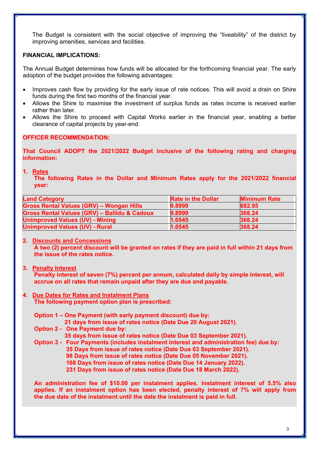The Budget is consistent with the social objective of improving the "liveability" of the district by improving amenities, services and facilities.

#### **FINANCIAL IMPLICATIONS:**

The Annual Budget determines how funds will be allocated for the forthcoming financial year. The early adoption of the budget provides the following advantages:

- Improves cash flow by providing for the early issue of rate notices. This will avoid a drain on Shire funds during the first two months of the financial year.
- Allows the Shire to maximise the investment of surplus funds as rates income is received earlier rather than later.
- Allows the Shire to proceed with Capital Works earlier in the financial year, enabling a better clearance of capital projects by year-end.

#### **OFFICER RECOMMENDATION:**

**That Council ADOPT the 2021/2022 Budget inclusive of the following rating and charging information:** 

#### **1. Rates**

 **The following Rates in the Dollar and Minimum Rates apply for the 2021/2022 financial year:** 

| <b>Land Category</b>                                    | <b>Rate in the Dollar</b> | <b>Minimum Rate</b> |
|---------------------------------------------------------|---------------------------|---------------------|
| <b>Gross Rental Values (GRV) - Wongan Hills</b>         | 9.8999                    | 682.95              |
| <b>Gross Rental Values (GRV) - Ballidu &amp; Cadoux</b> | 9.8999                    | 368.24              |
| <b>Unimproved Values (UV) - Mining</b>                  | 1.0545                    | 368.24              |
| <b>Unimproved Values (UV) - Rural</b>                   | 1.0545                    | 368.24              |

#### **2. Discounts and Concessions**

 **A two (2) percent discount will be granted on rates if they are paid in full within 21 days from the issue of the rates notice.** 

**3. Penalty Interest** 

 **Penalty interest of seven (7%) percent per annum, calculated daily by simple interest, will accrue on all rates that remain unpaid after they are due and payable.** 

#### **4. Due Dates for Rates and Instalment Plans The following payment option plan is prescribed:**

 **Option 1 – One Payment (with early payment discount) due by:** 

 **21 days from issue of rates notice (Date Due 20 August 2021).** 

 **Option 2 - One Payment due by:** 

 **35 days from issue of rates notice (Date Due 03 September 2021).** 

 **Option 3 - Four Payments (includes instalment interest and administration fee) due by: 35 Days from issue of rates notice (Date Due 03 September 2021). 98 Days from issue of rates notice (Date Due 05 November 2021). 168 Days from issue of rates notice (Date Due 14 January 2022). 231 Days from issue of rates notice (Date Due 18 March 2022).** 

 **An administration fee of \$10.00 per instalment applies. Instalment interest of 5.5% also applies. If an instalment option has been elected, penalty interest of 7% will apply from the due date of the instalment until the date the instalment is paid in full.**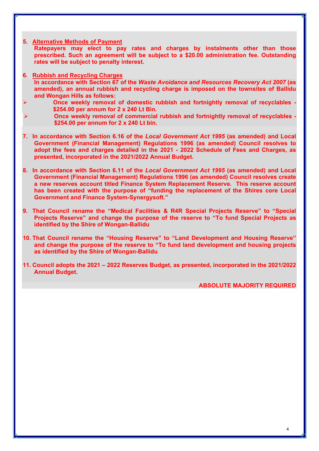- **5. Alternative Methods of Payment Ratepayers may elect to pay rates and charges by instalments other than those prescribed. Such an agreement will be subject to a \$20.00 administration fee. Outstanding rates will be subject to penalty interest.**
- **6. Rubbish and Recycling Charges In accordance with Section 67 of the** *Waste Avoidance and Resources Recovery Act 2007* **(as amended), an annual rubbish and recycling charge is imposed on the townsites of Ballidu and Wongan Hills as follows:**
- **Once weekly removal of domestic rubbish and fortnightly removal of recyclables \$254.00 per annum for 2 x 240 Lt Bin.**
- **Once weekly removal of commercial rubbish and fortnightly removal of recyclables \$254.00 per annum for 2 x 240 Lt bin.**
- **7. In accordance with Section 6.16 of the** *Local Government Act 1995* **(as amended) and Local Government (Financial Management) Regulations 1996 (as amended) Council resolves to adopt the fees and charges detailed in the 2021 - 2022 Schedule of Fees and Charges, as presented, incorporated in the 2021/2022 Annual Budget.**
- **8. In accordance with Section 6.11 of the** *Local Government Act 1995* **(as amended) and Local Government (Financial Management) Regulations 1996 (as amended) Council resolves create a new reserves account titled Finance System Replacement Reserve. This reserve account has been created with the purpose of "funding the replacement of the Shires core Local Government and Finance System-Synergysoft."**
- **9. That Council rename the "Medical Facilities & R4R Special Projects Reserve" to "Special Projects Reserve" and change the purpose of the reserve to "To fund Special Projects as identified by the Shire of Wongan-Ballidu**
- **10. That Council rename the "Housing Reserve" to "Land Development and Housing Reserve" and change the purpose of the reserve to "To fund land development and housing projects as identified by the Shire of Wongan-Ballidu**
- **11. Council adopts the 2021 2022 Reserves Budget, as presented, incorporated in the 2021/2022 Annual Budget.**

**ABSOLUTE MAJORITY REQUIRED**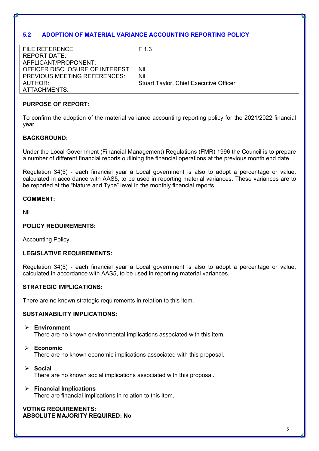#### **5.2 ADOPTION OF MATERIAL VARIANCE ACCOUNTING REPORTING POLICY**

| FILE REFERENCE:                | F 1 3                                         |
|--------------------------------|-----------------------------------------------|
| REPORT DATE:                   |                                               |
| APPLICANT/PROPONENT:           |                                               |
| OFFICER DISCLOSURE OF INTEREST | Nil                                           |
| PREVIOUS MEETING REFERENCES:   | Nil                                           |
| AUTHOR:                        | <b>Stuart Taylor, Chief Executive Officer</b> |
| ATTACHMENTS:                   |                                               |
|                                |                                               |

#### **PURPOSE OF REPORT:**

To confirm the adoption of the material variance accounting reporting policy for the 2021/2022 financial year.

#### **BACKGROUND:**

Under the Local Government (Financial Management) Regulations (FMR) 1996 the Council is to prepare a number of different financial reports outlining the financial operations at the previous month end date.

Regulation 34(5) - each financial year a Local government is also to adopt a percentage or value, calculated in accordance with AAS5, to be used in reporting material variances. These variances are to be reported at the "Nature and Type" level in the monthly financial reports.

#### **COMMENT:**

Nil

#### **POLICY REQUIREMENTS:**

Accounting Policy.

#### **LEGISLATIVE REQUIREMENTS:**

Regulation 34(5) - each financial year a Local government is also to adopt a percentage or value, calculated in accordance with AAS5, to be used in reporting material variances.

#### **STRATEGIC IMPLICATIONS:**

There are no known strategic requirements in relation to this item.

#### **SUSTAINABILITY IMPLICATIONS:**

- **Environment**  There are no known environmental implications associated with this item.
- **Economic**  There are no known economic implications associated with this proposal.
- **Social**  There are no known social implications associated with this proposal.
- **Financial Implications**  There are financial implications in relation to this item.

#### **VOTING REQUIREMENTS: ABSOLUTE MAJORITY REQUIRED: No**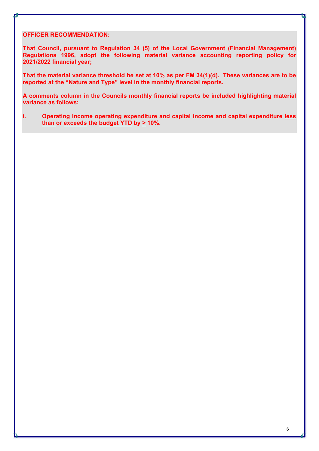#### **OFFICER RECOMMENDATION:**

**That Council, pursuant to Regulation 34 (5) of the Local Government (Financial Management) Regulations 1996, adopt the following material variance accounting reporting policy for 2021/2022 financial year;** 

**That the material variance threshold be set at 10% as per FM 34(1)(d). These variances are to be reported at the "Nature and Type" level in the monthly financial reports.** 

**A comments column in the Councils monthly financial reports be included highlighting material variance as follows:** 

**i. Operating Income operating expenditure and capital income and capital expenditure less than or exceeds the budget YTD by > 10%.**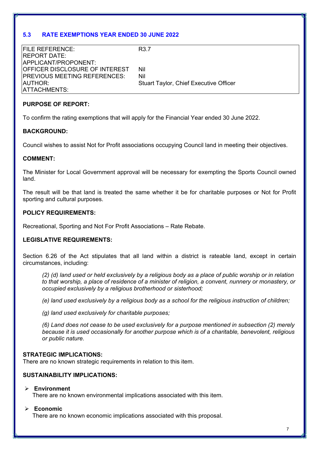#### **5.3 RATE EXEMPTIONS YEAR ENDED 30 JUNE 2022**

| <b>FILE REFERENCE:</b>               | R <sub>3.7</sub>                              |
|--------------------------------------|-----------------------------------------------|
| IREPORT DATE:                        |                                               |
| APPLICANT/PROPONENT:                 |                                               |
| OFFICER DISCLOSURE OF INTEREST       | Nil                                           |
| <b>IPREVIOUS MEETING REFERENCES:</b> | Nil                                           |
| AUTHOR:                              | <b>Stuart Taylor, Chief Executive Officer</b> |
| ATTACHMENTS:                         |                                               |

#### **PURPOSE OF REPORT:**

To confirm the rating exemptions that will apply for the Financial Year ended 30 June 2022.

#### **BACKGROUND:**

Council wishes to assist Not for Profit associations occupying Council land in meeting their objectives.

#### **COMMENT:**

The Minister for Local Government approval will be necessary for exempting the Sports Council owned land.

The result will be that land is treated the same whether it be for charitable purposes or Not for Profit sporting and cultural purposes.

#### **POLICY REQUIREMENTS:**

Recreational, Sporting and Not For Profit Associations – Rate Rebate.

#### **LEGISLATIVE REQUIREMENTS:**

Section 6.26 of the Act stipulates that all land within a district is rateable land, except in certain circumstances, including:

*(2) (d) land used or held exclusively by a religious body as a place of public worship or in relation to that worship, a place of residence of a minister of religion, a convent, nunnery or monastery, or occupied exclusively by a religious brotherhood or sisterhood;*

*(e) land used exclusively by a religious body as a school for the religious instruction of children;*

*(g) land used exclusively for charitable purposes;* 

*(6) Land does not cease to be used exclusively for a purpose mentioned in subsection (2) merely because it is used occasionally for another purpose which is of a charitable, benevolent, religious or public nature.*

#### **STRATEGIC IMPLICATIONS:**

There are no known strategic requirements in relation to this item.

#### **SUSTAINABILITY IMPLICATIONS:**

#### **Environment**

There are no known environmental implications associated with this item.

#### **Economic**

There are no known economic implications associated with this proposal.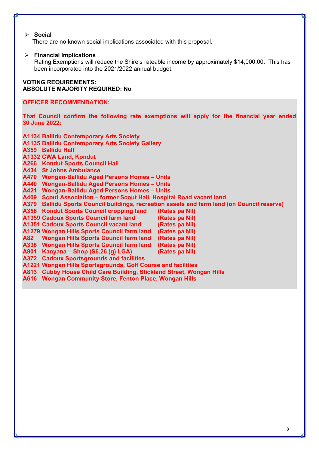#### **Social**

There are no known social implications associated with this proposal.

#### **Financial Implications**

Rating Exemptions will reduce the Shire's rateable income by approximately \$14,000.00. This has been incorporated into the 2021/2022 annual budget.

#### **VOTING REQUIREMENTS: ABSOLUTE MAJORITY REQUIRED: No**

#### **OFFICER RECOMMENDATION:**

**That Council confirm the following rate exemptions will apply for the financial year ended 30 June 2022:** 

**A1134 Ballidu Contemporary Arts Society A1135 Ballidu Contemporary Arts Society Gallery A359 Ballidu Hall A1332 CWA Land, Kondut A266 Kondut Sports Council Hall A434 St Johns Ambulance A470 Wongan-Ballidu Aged Persons Homes – Units A440 Wongan-Ballidu Aged Persons Homes – Units A421 Wongan-Ballidu Aged Persons Homes – Units A409 Scout Association – former Scout Hall, Hospital Road vacant land A379 Ballidu Sports Council buildings, recreation assets and farm land (on Council reserve) A356 Kondut Sports Council cropping land (Rates pa Nil) A1359 Cadoux Sports Council farm land (Rates pa Nil) A1351 Cadoux Sports Council vacant land (Rates pa Nil) A1279 Wongan Hills Sports Council farm land (Rates pa Nil) A82 Wongan Hills Sports Council farm land (Rates pa Nil) A336 Wongan Hills Sports Council farm land (Rates pa Nil) A801 Kanyana – Shop (S6.26 (g) LGA) (Rates pa Nil) A372 Cadoux Sportsgrounds and facilities A1221 Wongan Hills Sportsgrounds, Golf Course and facilities A813 Cubby House Child Care Building, Stickland Street, Wongan Hills** 

**A616 Wongan Community Store, Fenton Place, Wongan Hills**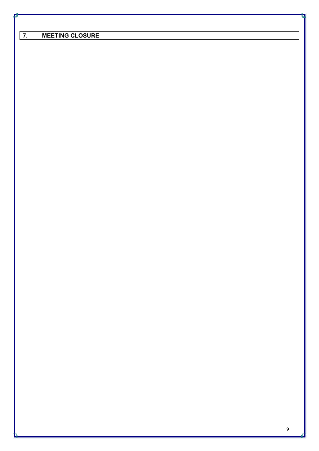| <b>MEETING CLOSURE</b> |  |
|------------------------|--|

9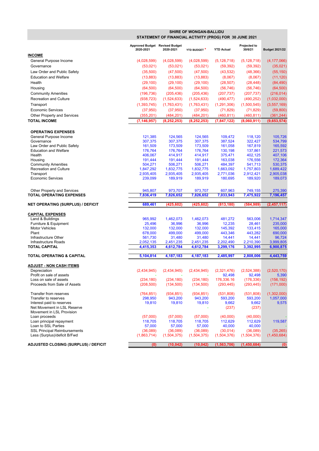|                                                                |                                                         |                      | SHIRE OF WONGAN-BALLIDU |                       |                       |                       |  |  |  |  |  |  |
|----------------------------------------------------------------|---------------------------------------------------------|----------------------|-------------------------|-----------------------|-----------------------|-----------------------|--|--|--|--|--|--|
|                                                                | STATEMENT OF FINANCIAL ACTIVITY (PROG) FOR 30 JUNE 2021 |                      |                         |                       |                       |                       |  |  |  |  |  |  |
|                                                                | Approved Budget Revised Budget                          |                      |                         |                       | Projected to          |                       |  |  |  |  |  |  |
| <b>INCOME</b>                                                  | 2020-2021                                               | 2020-2021            | YTD BUDGET *            | <b>YTD Actual</b>     | 30/6/21               | <b>Budget 2021/22</b> |  |  |  |  |  |  |
|                                                                |                                                         |                      |                         |                       |                       |                       |  |  |  |  |  |  |
| General Purpose Income                                         | (4,028,599)                                             | (4,028,599)          | (4,028,599)             | (5, 128, 718)         | (5, 128, 718)         | (4, 177, 066)         |  |  |  |  |  |  |
| Governance                                                     | (53,021)                                                | (53,021)             | (53,021)                | (59, 392)             | (59, 392)             | (35,021)              |  |  |  |  |  |  |
| Law Order and Public Safety                                    | (35,500)                                                | (47,500)             | (47,500)                | (43, 532)             | (48, 366)             | (55, 150)             |  |  |  |  |  |  |
| <b>Education and Welfare</b><br>Health                         | (13, 883)                                               | (13, 883)            | (13, 883)               | (8,067)               | (8,067)               | (11, 120)             |  |  |  |  |  |  |
|                                                                | (29, 100)                                               | (29, 100)            | (29, 100)               | (28, 507)             | (28, 448)             | (84, 490)             |  |  |  |  |  |  |
| Housing                                                        | (64, 500)                                               | (64, 500)            | (64, 500)               | (56, 746)             | (56, 746)             | (64, 500)             |  |  |  |  |  |  |
| <b>Community Amenities</b>                                     | (196, 736)                                              | (205, 436)           | (205, 436)              | (207, 737)            | (207, 737)            | (216, 014)            |  |  |  |  |  |  |
| <b>Recreation and Culture</b>                                  | (938, 723)                                              | (1,524,633)          | (1,524,633)             | (490, 477)            | (490, 252)            | (1,032,000)           |  |  |  |  |  |  |
| Transport                                                      | (1, 393, 745)                                           | (1,763,431)          | (1,763,431)             | (1, 291, 306)         | (1,500,545)           | (3, 557, 169)         |  |  |  |  |  |  |
| <b>Economic Services</b>                                       | (37, 950)                                               | (37, 950)            | (37, 950)               | (71, 829)             | (71, 829)             | (59, 800)             |  |  |  |  |  |  |
| Other Property and Services                                    | (355, 201)                                              | (484, 201)           | (484, 201)              | (460, 811)            | (460, 811)            | (361, 244)            |  |  |  |  |  |  |
| <b>TOTAL INCOME</b>                                            | (7, 146, 957)                                           | (8, 252, 253)        | (8, 252, 253)           | (7, 847, 122)         | (8,060,911)           | (9,653,574)           |  |  |  |  |  |  |
| <b>OPERATING EXPENSES</b>                                      |                                                         |                      |                         |                       |                       |                       |  |  |  |  |  |  |
| General Purpose Income                                         | 121,385                                                 | 124,565              | 124,565                 | 109,472               | 118,120               | 105,726               |  |  |  |  |  |  |
| Governance                                                     | 307,375                                                 | 307,375              | 307,375                 | 387,524               | 322,427               | 534,799               |  |  |  |  |  |  |
| Law Order and Public Safety                                    | 161.509                                                 | 173,509              | 173,509                 | 161,058               | 167,819               | 165,592               |  |  |  |  |  |  |
| <b>Education and Welfare</b>                                   | 176.764                                                 | 176,764              | 176,764                 | 130,198               | 137,861               | 221.573               |  |  |  |  |  |  |
| Health                                                         | 406,067                                                 | 414,917              | 414,917                 | 375,471               | 402,125               | 407,106               |  |  |  |  |  |  |
| Housing<br><b>Community Amenities</b>                          | 191,444<br>504,271                                      | 191,444<br>506,271   | 191,444<br>506,271      | 163,038<br>484,397    | 176,556<br>541,713    | 172,364<br>530,375    |  |  |  |  |  |  |
| <b>Recreation and Culture</b>                                  | 1,847,292                                               | 1,832,775            | 1,832,775               | 1,663,092             | 1,757,803             | 1,689,422             |  |  |  |  |  |  |
| Transport                                                      | 2,935,405                                               | 2,935,405            | 2,935,405               | 2,771,036             | 2,912,421             | 2,905,038             |  |  |  |  |  |  |
| <b>Economic Services</b>                                       | 239,099                                                 | 189,919              | 189,919                 | 180,695               | 189,920               | 189,073               |  |  |  |  |  |  |
|                                                                |                                                         |                      |                         |                       |                       |                       |  |  |  |  |  |  |
| Other Property and Services<br><b>TOTAL OPERATING EXPENSES</b> | 945,807<br>7,836,419                                    | 973,707<br>7,826,652 | 973,707<br>7,826,652    | 607,963<br>7,033,943  | 749,155<br>7,475,922  | 275,390<br>7,196,457  |  |  |  |  |  |  |
|                                                                |                                                         |                      |                         |                       |                       |                       |  |  |  |  |  |  |
| <b>NET OPERATING (SURPLUS) / DEFICIT</b>                       | 689,461                                                 | (425, 602)           | (425,602)               | (813, 180)            | (584,989)             | (2, 457, 117)         |  |  |  |  |  |  |
| <b>CAPITAL EXPENSES</b>                                        |                                                         |                      |                         |                       |                       |                       |  |  |  |  |  |  |
| Land & Buildings                                               | 965,992                                                 | 1,462,073            | 1,462,073               | 481,272               | 563,006               | 1,714,347             |  |  |  |  |  |  |
| Furniture & Equipment                                          | 25,496                                                  | 36,996               | 36,996                  | 12,235                | 28,461                | 235,000               |  |  |  |  |  |  |
| <b>Motor Vehicles</b>                                          | 132,000                                                 | 132,000              | 132,000                 | 145,392               | 133,415               | 165,000               |  |  |  |  |  |  |
| Plant                                                          | 678,000                                                 | 499,000              | 499,000                 | 443,346               | 443,282               | 690,000               |  |  |  |  |  |  |
| Infrastructure Other<br>Infrastructure Roads                   | 561.730<br>2,052,135                                    | 31,480<br>2,451,235  | 31,480<br>2,451,235     | 14,441<br>2,202,490   | 14,441<br>2,210,390   | 96.724<br>3,999,805   |  |  |  |  |  |  |
| <b>TOTAL CAPITAL</b>                                           | 4,415,353                                               | 4,612,784            | 4,612,784               | 3,299,176             | 3,392,995             | 6,900,875             |  |  |  |  |  |  |
| <b>TOTAL OPERATING &amp; CAPITAL</b>                           | 5,104,814                                               | 4,187,183            | 4,187,183               | 2,485,997             | 2,808,006             | 4,443,759             |  |  |  |  |  |  |
|                                                                |                                                         |                      |                         |                       |                       |                       |  |  |  |  |  |  |
| <b>ADJUST - NON CASH ITEMS</b>                                 |                                                         |                      |                         |                       |                       |                       |  |  |  |  |  |  |
| Depreciation<br>Profit on sale of assets                       | (2,434,945)                                             | (2,434,945)          | (2,434,945)             | (2,321,476)<br>92,498 | (2,524,388)<br>92,498 | (2,520,170)<br>5,390  |  |  |  |  |  |  |
| Loss on sale of assets                                         | (234, 180)                                              | (234, 180)           | (234, 180)              | 176,336.16            | (176, 336)            | (156, 192)            |  |  |  |  |  |  |
| Proceeds from Sale of Assets                                   | (208, 500)                                              | (134,500)            | (134,500)               | (293, 445)            | (293, 445)            | (171,000)             |  |  |  |  |  |  |
| Transfer from reserves                                         | (764, 851)                                              | (934, 851)           | (934, 851)              | (531, 808)            | (531,808)             | (1,302,000)           |  |  |  |  |  |  |
| Transfer to reserves                                           | 298,950                                                 | 943,200              | 943,200                 | 593,200               | 593,200               | 1,057,000             |  |  |  |  |  |  |
| Interest paid to reserves                                      | 19,810                                                  | 19,810               | 19,810                  | 9,662                 | 9,662                 | 9,575                 |  |  |  |  |  |  |
| Net Movement in LSL Reserve                                    |                                                         |                      |                         | (237)                 | (237)                 |                       |  |  |  |  |  |  |
| Movement in LSL Provision                                      |                                                         |                      |                         |                       |                       |                       |  |  |  |  |  |  |
| Loan proceeds                                                  | (57,000)                                                | (57,000)             | (57,000)                | (40,000)              | (40,000)              |                       |  |  |  |  |  |  |
| Loan principal repayment                                       | 118,705                                                 | 118,705              | 118,705                 | 112,629               | 112,629               | 119,587               |  |  |  |  |  |  |
| Loan to SSL Parties<br><b>SSL Principal Reimbursements</b>     | 57,000<br>(36,089)                                      | 57,000<br>(36,089)   | 57,000<br>(36,089)      | 40,000<br>(30,014)    | 40,000<br>(36,089)    | (35, 265)             |  |  |  |  |  |  |
| Less (Surplus)/deficit B/Fwd                                   | (1,863,714)                                             | (1,504,375)          | (1,504,375)             | (1,504,376)           | (1,504,376)           | (1,450,684)           |  |  |  |  |  |  |
|                                                                |                                                         |                      |                         |                       |                       |                       |  |  |  |  |  |  |
| <b>ADJUSTED CLOSING (SURPLUS) / DEFICIT</b>                    | (0)                                                     | (10, 042)            | (10, 042)               | (1, 563, 706)         | (1,450,684)           | (0)                   |  |  |  |  |  |  |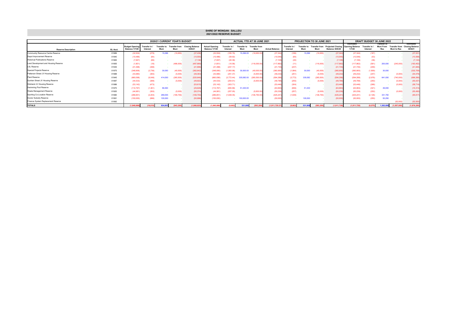|                                        |                               |                                                |                                |                            |                              |                                   |                                                | <b>SHIRE OF WONGAN - BALLIDU</b><br>2021/2022 RESERVE BUDGET |                            |                              |                       |                         |                     |                            |                                                                  |                                               |                           |                                 |             |                                                              |
|----------------------------------------|-------------------------------|------------------------------------------------|--------------------------------|----------------------------|------------------------------|-----------------------------------|------------------------------------------------|--------------------------------------------------------------|----------------------------|------------------------------|-----------------------|-------------------------|---------------------|----------------------------|------------------------------------------------------------------|-----------------------------------------------|---------------------------|---------------------------------|-------------|--------------------------------------------------------------|
|                                        | 2020/21 CURRENT YEAR'S BUDGET |                                                |                                |                            |                              |                                   |                                                |                                                              | ACTUAL YTD AT 30 JUNE 2021 |                              |                       |                         |                     | PROJECTION TO 30 JUNE 2021 |                                                                  |                                               | DRAFT BUDGET 30 JUNE 2022 |                                 |             |                                                              |
| <b>Reserve Description</b>             | GL Acct.                      | <b>Budget Opening</b><br><b>Balance 1/7/20</b> | <b>Transfer</b> in<br>Interest | <b>Transfer to</b><br>Muni | <b>Transfer from</b><br>Muni | <b>Closing Balance</b><br>30/6/21 | <b>Actual Opening</b><br><b>Balance 1/7/20</b> | <b>Transfer in</b><br>Interest                               | Transfor to<br>Muni        | <b>Transfer from</b><br>Muni | <b>Actual Balance</b> | Transfer in<br>Interest | Transfer to<br>Muni | Muni                       | <b>Transfer from Projected Closing</b><br><b>Balance 30/6/20</b> | Estimated<br><b>Opening Balance</b><br>1/7/20 | Transfer in<br>Interest   | Transter to<br>Muni From<br>Res | Muni to Res | Estimated<br><b>Transfer from Closing Balance</b><br>30/6/21 |
| Community Resource Centre Reserve      | 01989                         | (32, 504)                                      | (278)                          | 15,296                     | (19.950)                     | (37.43)                           | (32, 504)                                      | (185.78)                                                     | 15,296.00                  | (19.950.00)                  | (37.34                | (186)                   | 15,296              | (19.950)                   | (37.34)                                                          | (37, 344)                                     | (187)                     |                                 |             | (37, 531)                                                    |
| Depot Improvement Reserve              | 01940                         | (10, 486)                                      | (64)                           |                            |                              | (10, 55)                          | (10, 486)                                      | (59.92)                                                      |                            |                              | (10, 546)             | (60)                    |                     |                            | (10, 54)                                                         | (10.546)                                      | (53)                      |                                 |             | (10, 59)                                                     |
| <b>Historical Publications Reserve</b> | 01965                         | (7.067)                                        | (69)                           |                            |                              | (7, 136)                          | (7,067)                                        | (40.38)                                                      |                            |                              | (7.10                 | (40)                    |                     |                            | (7.10)                                                           | (7, 108)                                      | (36)                      |                                 |             | (7, 143)                                                     |
| Land Development and Housing Reserve   | 01955                         | (1,851)                                        | (18)                           |                            | (496,000)                    | (497,86                           | (1,851)                                        | (10.56)                                                      |                            | $-$ (116,000.00)             | (117.862)             | (11)                    |                     | (116,000)                  | (117.86)                                                         | (117, 862)                                    | (591)                     | 200,000                         | (245,000)   | (163, 452)                                                   |
| LSL Reserve                            | 01935                         | (41, 498)                                      | (398)                          |                            |                              | (41, 89)                          | (41, 498)                                      | (237.17)                                                     |                            |                              | (41, 73)              | (237)                   |                     |                            | (41, 73)                                                         | (41, 735)                                     | (209)                     |                                 |             | (41, 94)                                                     |
| Special Projects Reserve               | 01975                         | (348,906)                                      | (3,736)                        | 30.000                     | (40,000)                     | (362, 642)                        | (348.906)                                      | (1.993.98)                                                   | 30.000.00                  | (40.000.00)                  | (360,900              | (1,994)                 | 30,000              | (40,000)                   | (360.900)                                                        | (360.900)                                     | (1,809)                   | 30,000                          |             | (332, 70)                                                    |
| Patterson Street JV Housing Reserve    | 01988                         | (43,980)                                       | (383)                          |                            | (5,000)                      | (49, 36)                          | (43,980)                                       | (251.37)                                                     |                            | (5.000.00)                   | (49, 232)             | (251)                   |                     | (5.000)                    | (49, 232)                                                        | (49, 232)                                     | (247)                     |                                 | (5.000)     | (54, 478)                                                    |
| Plant Reserve                          | 01945                         | (660,098)                                      | (9.048)                        | 414.000                    | (265, 500)                   | (520, 646)                        | (660,098)                                      | (3.772.44)                                                   | 335.082.00                 | (265, 500.00)                | (594, 28)             | (3.772)                 | 335.082             | (265, 500)                 | (594.28)                                                         | (594, 288)                                    | (2.978)                   | 641.000                         | (740,000)   | (696, 26)                                                    |
| Quinlan Street JV Housing Reserve      | 01987                         | (44, 533)                                      | (389)                          |                            | (5,000)                      | (49, 922)                         | (44, 533)                                      | (254.51)                                                     | $\sim$                     | (5,000.00)                   | (49, 78)              | (255)                   |                     | (5.000)                    | (49.78)                                                          | (49, 788)                                     | (250)                     |                                 | (5,000)     | (55,037)                                                     |
| Stickland JV Housing Reserve           | 01986                         | (53.142)                                       | (473)                          |                            |                              | (53.615)                          | (53.142)                                       | (303.71)                                                     |                            |                              | (53.44)               | (304)                   |                     |                            | (53.44)                                                          | (53.446)                                      | (268)                     |                                 | (5.000)     | (58, 71)                                                     |
| Swimming Pool Reserve                  | 01970                         | (114, 767)                                     | (1.361)                        | 86,500                     |                              | (29, 62)                          | (114, 767)                                     | (655.88)                                                     | 51,430.00                  |                              | (63,993)              | (656)                   | 51,430              |                            | (63, 99)                                                         | (63.993)                                      | (321)                     | 49,000                          |             | (15, 313)                                                    |
| Waste Management Reserve               | 01920                         | (44,981)                                       | (393)                          |                            | (5,000)                      | (50, 374)                         | (44, 981)                                      | (257.05)                                                     |                            | (5,000.00)                   | (50, 239)             | (257)                   |                     | (5.000)                    | (50.23)                                                          | (50, 239)                                     | (252)                     |                                 | (5.000)     | (55, 490)                                                    |
| Sporting Co-Location Reserve           | 01990                         | (286, 851)                                     | (2.204)                        | 289,055                    | (106, 750)                   | (106, 750)                        | (286, 851)                                     | (1,639.35)                                                   |                            | $-$ (136,750.00)             | (425, 241)            | (1.639)                 |                     | (136, 750)                 | (425, 241)                                                       | (425, 241)                                    | (2.126)                   | 331,750                         |             | (95, 617)                                                    |
| Doctor Subsidy Reserve                 | 01991                         | (150,000)                                      | (996)                          | 100,000                    |                              | (50, 99)                          | (150,000)                                      |                                                              | 100,000.00                 |                              | (50,000)              |                         | 100,000             |                            | (50.00)                                                          | (50,000)                                      | (250)                     | 50,250                          |             |                                                              |
| Finance System Replacement Reserve     | 01992                         |                                                |                                |                            |                              |                                   |                                                |                                                              |                            |                              |                       |                         |                     |                            |                                                                  |                                               |                           |                                 | (52.000)    | (52.000)                                                     |
| <b>TOTALS</b>                          |                               | (1,840,666)                                    | (19.810)                       | 934,851                    | (943, 200)                   | (1.868.825                        | (1.840.666)                                    | (9.662)                                                      | 531.808                    | (593.200)                    | (1.911.720.37)        | (9.662)                 | 531,808             | (593.200)                  | (1.911.72)                                                       | (1,911,720)                                   | (9.575)                   | 1.302.000                       | (1.057.000) | (1,676,295)                                                  |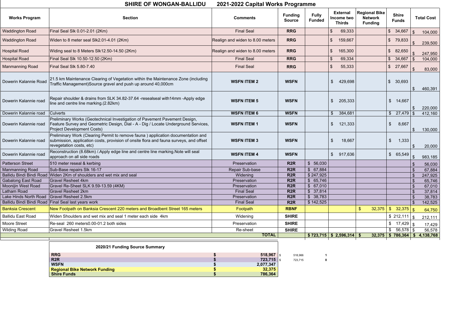| <b>Works Program</b>                                | <b>Section</b>                                                                                                                                                                                         | <b>Comments</b>                       | <b>Funding</b><br><b>Source</b> | <b>Fully</b><br><b>Funded</b> | <b>External</b><br>Income two<br><b>Thirds</b> | <b>Regional Bike</b><br><b>Network</b><br><b>Funding</b> |                           | <b>Shire</b><br><b>Funds</b>                  |                         | <b>Total Cost</b>                        |
|-----------------------------------------------------|--------------------------------------------------------------------------------------------------------------------------------------------------------------------------------------------------------|---------------------------------------|---------------------------------|-------------------------------|------------------------------------------------|----------------------------------------------------------|---------------------------|-----------------------------------------------|-------------------------|------------------------------------------|
| <b>Waddington Road</b>                              | Final Seal Slk 0.01-2.01 (2Km)                                                                                                                                                                         | <b>Final Seal</b>                     | <b>RRG</b>                      |                               | $\mathfrak{L}$<br>69,333                       |                                                          | $\sqrt{3}$                | 34,667                                        | $\mathcal{L}$           | 104,000                                  |
| <b>Waddington Road</b>                              | Widen to 8 meter seal SIk2.01-4.01 (2Km)                                                                                                                                                               | Realign and widen to 8.00 meters      | <b>RRG</b>                      |                               | \$<br>159,667                                  |                                                          | $\frac{1}{2}$             | 79,833                                        |                         | 239,500                                  |
| <b>Hospital Road</b>                                | Widing seal to 8 Meters SIk12.50-14.50 (2Km)                                                                                                                                                           | Realign and widen to 8.00 meters      | <b>RRG</b>                      |                               | $\boldsymbol{\mathcal{S}}$<br>165,300          |                                                          | $\frac{1}{2}$             | 82,650                                        |                         | 247,950                                  |
| <b>Hospital Road</b>                                | Final Seal Slk 10.50-12.50 (2Km)                                                                                                                                                                       | <b>Final Seal</b>                     | <b>RRG</b>                      |                               | $\frac{1}{2}$<br>69,334                        |                                                          |                           | \$34,667                                      |                         | 104,000                                  |
| <b>Manmanning Road</b>                              | Final Seal Slk 5.80-7.40                                                                                                                                                                               | <b>Final Seal</b>                     | <b>RRG</b>                      |                               | $\boldsymbol{\mathsf{S}}$<br>55,333            |                                                          | $\sqrt{2}$                | 27,667                                        |                         | 83,000                                   |
| Dowerin Kalannie Road                               | 21.5 km Maintenance Clearing of Vegetation within the Maintenance Zone (including<br>Traffic Management)Source gravel and push up around 40,000cm                                                      | <b>WSFN ITEM 2</b>                    | <b>WSFN</b>                     |                               | $\mathfrak{S}$<br>429,698                      |                                                          | $\frac{1}{2}$             | 30,693                                        |                         | 460,391                                  |
| Dowerin Kalannie road                               | Repair shoulder & drains from SLK 34.82-37.64 -resealseal with 14mm -Apply edge<br>line and centre line marking.(2.82km)                                                                               | <b>WSFN ITEM 5</b>                    | <b>WSFN</b>                     |                               | $\mathfrak{S}$<br>205,333                      |                                                          | $\frac{1}{2}$             | 14,667                                        |                         | 220,000                                  |
| Dowerin Kalannie road                               | <b>Culverts</b>                                                                                                                                                                                        | <b>WSFN ITEM 6</b>                    | <b>WSFN</b>                     |                               | $\sqrt[6]{\frac{1}{2}}$<br>384,681             |                                                          |                           | \$27,479                                      |                         | 412,160                                  |
| Dowerin Kalannie road                               | Preliminary Works (Geotechnical Investigation of Pavement Pavement Design,<br>Feature Survey and Geometric Design, Dial - A - Dig / Locate Underground Services,<br><b>Project Development Costs)</b>  | <b>WSFN ITEM 1</b>                    | <b>WSFN</b>                     |                               | 121,333<br>$\mathcal{S}$                       |                                                          | $\boldsymbol{\mathsf{S}}$ | 8,667                                         |                         | 130,000                                  |
| Dowerin Kalannie road                               | Preliminary Work (Clearing Permit to remove fauna) application documentation and<br>submission, application costs, provision of onsite flora and fauna surveys, and offset<br>revegetation costs, etc) | <b>WSFN ITEM 3</b>                    | <b>WSFN</b>                     |                               | \$<br>18,667                                   |                                                          | $\frac{1}{2}$             | 1,333                                         |                         | 20,000                                   |
| Dowerin Kalannie road                               | Reconstruction (8.68km) / Apply edge line and centre line marking Note will seal<br>approach on all side roads                                                                                         | <b>WSFN ITEM 4</b>                    | <b>WSFN</b>                     |                               | $\mathfrak{S}$<br>917,636                      |                                                          | $\frac{1}{2}$             | 65,549                                        |                         | 983,185                                  |
| <b>Patterson Street</b>                             | 510 meter reseal & kerbing                                                                                                                                                                             | Preservation                          | R <sub>2</sub> R                | \$56,030                      |                                                |                                                          |                           |                                               |                         | 56,030                                   |
| <b>Manmanning Road</b>                              | Sub-Base repairs Slk 16-17                                                                                                                                                                             | Repair Sub-base                       | R <sub>2</sub> R                | \$67,884                      |                                                |                                                          |                           |                                               |                         | 67,884                                   |
|                                                     | Ballidu Bindi Bindi Road Widen 2Km of shoulders and wet mix and seal                                                                                                                                   | Widening                              | R <sub>2</sub> R                | \$247,925                     |                                                |                                                          |                           |                                               | $\sqrt[6]{3}$           | 247,925                                  |
| <b>Gabalong East Road</b>                           | <b>Gravel Resheet 4km</b>                                                                                                                                                                              | Preservation                          | R <sub>2</sub> R                | \$65,746                      |                                                |                                                          |                           |                                               | $\sqrt[6]{3}$           | 65,746                                   |
| Moonijin West Road                                  | Gravel Re-Sheet SLK 9.59-13.59 (4KM)                                                                                                                                                                   | Preservation                          | R <sub>2</sub> R                | \$67,010                      |                                                |                                                          |                           |                                               | $\sqrt{3}$              | 67,010                                   |
| Latham Road                                         | <b>Gravel Resheet 2km</b>                                                                                                                                                                              | <b>Final Seal</b>                     | R <sub>2</sub> R                | \$37,814                      |                                                |                                                          |                           |                                               | \$                      | 37,814                                   |
| Lake Hinds North Road                               | Gravel Resheet 2.5km                                                                                                                                                                                   | Preservation                          | R <sub>2</sub> R                | \$38,783                      |                                                |                                                          |                           |                                               | $\sqrt[6]{\frac{1}{2}}$ | 38,783                                   |
|                                                     | Ballidu Bindi Bindi Road Final Seal last years work                                                                                                                                                    | <b>Final Seal</b>                     | R <sub>2</sub> R                | \$142,525                     |                                                |                                                          |                           |                                               | $\sqrt[6]{\frac{1}{2}}$ | 142,525                                  |
| <b>Banksia Crescent</b><br><b>Ballidu East Road</b> | New Footpath on Banksia Crescent 220 meters and Broadbent Street 165 meters<br>Widen Shoulders and wet mix and seal 1 meter each side 4km                                                              | Footpath<br>Widening                  | <b>RBNF</b><br><b>SHIRE</b>     |                               |                                                | 32,375<br>$\boldsymbol{\mathsf{s}}$                      |                           | $\frac{12}{3}$ 32,375 \stra<br>$$212,111$ $$$ |                         | 64,750                                   |
| <b>Moore Street</b>                                 | Re-seal 260 meters0.00-01.2 both sides                                                                                                                                                                 | Preservation                          | <b>SHIRE</b>                    |                               |                                                |                                                          |                           |                                               |                         | 212,111                                  |
|                                                     | <b>Gravel Resheet 1.5km</b>                                                                                                                                                                            | Re-sheet                              | <b>SHIRE</b>                    |                               |                                                |                                                          |                           | \$56,578                                      |                         | 17,429                                   |
| <b>Wilding Road</b>                                 |                                                                                                                                                                                                        | <b>TOTAL</b>                          |                                 |                               | $$723,715 \;   \; $2,596,314 \;   \; $$        |                                                          |                           |                                               |                         | 56,578<br>$32,375$ \$786,364 \$4,138,768 |
|                                                     | 2020/21 Funding Source Summary                                                                                                                                                                         |                                       |                                 |                               |                                                |                                                          |                           |                                               |                         |                                          |
|                                                     | <b>RRG</b><br>R <sub>2</sub> R                                                                                                                                                                         | 518,967 $\frac{1}{3}$<br>$723,715$ \$ | 518,966                         | $\mathbf 0$                   |                                                |                                                          |                           |                                               |                         |                                          |
|                                                     | <b>WSFN</b>                                                                                                                                                                                            | 2,077,347                             | 723,715                         |                               |                                                |                                                          |                           |                                               |                         |                                          |
|                                                     | <b>Regional Bike Network Funding</b>                                                                                                                                                                   | 32,375                                |                                 |                               |                                                |                                                          |                           |                                               |                         |                                          |
|                                                     | <b>Shire Funds</b>                                                                                                                                                                                     | 786,364                               |                                 |                               |                                                |                                                          |                           |                                               |                         |                                          |

## **SHIRE OF WONGAN-BALLIDU 2021-2022 Capital Works Programme**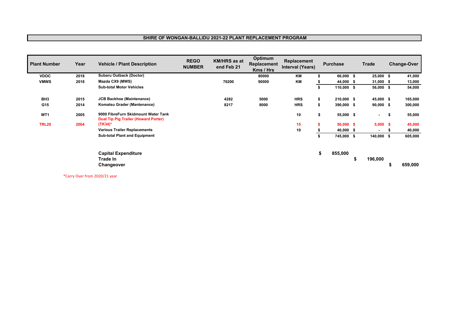#### **SHIRE OF WONGAN-BALLIDU 2021-22 PLANT REPLACEMENT PROGRAM**

| <b>Plant Number</b> | Year | <b>Vehicle / Plant Description</b>                                                 | <b>REGO</b><br><b>NUMBER</b> | <b>KM/HRS as at</b><br>end Feb 21 | Optimum<br>Replacement<br>Kms / Hrs | Replacement<br><b>Interval (Years)</b> | <b>Purchase</b>  |   | <b>Trade</b> |    | <b>Change-Over</b> |
|---------------------|------|------------------------------------------------------------------------------------|------------------------------|-----------------------------------|-------------------------------------|----------------------------------------|------------------|---|--------------|----|--------------------|
| <b>VDOC</b>         | 2018 | <b>Subaru Outback (Doctor)</b>                                                     |                              |                                   | 80000                               | KM                                     | 66,000 \$        |   | $25,000$ \$  |    | 41,000             |
| <b>VMWS</b>         | 2018 | Mazda CX9 (MWS)                                                                    |                              | 76200                             | 90000                               | KM                                     | 44,000 \$        |   | $31,000$ \$  |    | 13,000             |
|                     |      | <b>Sub-total Motor Vehicles</b>                                                    |                              |                                   |                                     |                                        | $110,000$ \$     |   | 56,000 \$    |    | 54,000             |
| BH <sub>3</sub>     | 2015 | <b>JCB Backhoe (Maintenance)</b>                                                   |                              | 4282                              | 5000                                | <b>HRS</b>                             | 210,000 \$<br>\$ |   | 45,000 \$    |    | 165,000            |
| G15                 | 2014 | Komatsu Grader (Mantenance)                                                        |                              | 8217                              | 8000                                | <b>HRS</b>                             | 390,000 \$       |   | $90,000$ \$  |    | 300,000            |
| WT1                 | 2005 | 9000 FibreFurn Skidmount Water Tank<br><b>Dual Tip Pig Trailer (Howard Porter)</b> |                              |                                   |                                     | 10                                     | 55,000 \$<br>\$  |   | $\sim$       | \$ | 55,000             |
| <b>TRL20</b>        | 2004 | $(TK34)^*$                                                                         |                              |                                   |                                     | 15                                     | $50,000$ \$<br>s |   | $5,000$ \$   |    | 45,000             |
|                     |      | <b>Various Trailer Replacements</b>                                                |                              |                                   |                                     | 10                                     | 40,000 \$        |   | $\sim$       | -5 | 40,000             |
|                     |      | <b>Sub-total Plant and Equipment</b>                                               |                              |                                   |                                     |                                        | 745,000 \$       |   | 140,000 \$   |    | 605,000            |
|                     |      | <b>Capital Expenditure</b><br>Trade In<br>Changeover                               |                              |                                   |                                     |                                        | \$<br>855,000    | S | 196,000      |    | 659,000            |

\*Carry Over from 2020/21 year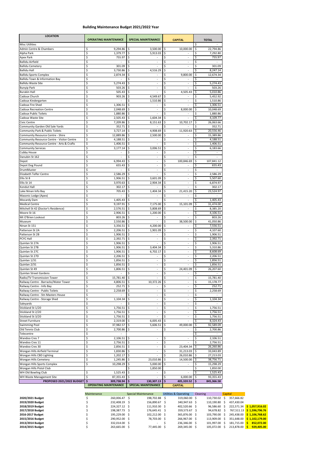#### **Building Maintenance Budget 2021/2022 Year**

| <b>LOCATION</b>                                                    | <b>OPERATING MAINTENANCE</b>     | <b>SPECIAL MAINTENANCE</b>           | <b>CAPITAL</b>                                                   | <b>TOTAL</b>                            |
|--------------------------------------------------------------------|----------------------------------|--------------------------------------|------------------------------------------------------------------|-----------------------------------------|
| <b>Misc Utilities</b>                                              |                                  |                                      |                                                                  | \$                                      |
| <b>Admin Centre &amp; Chambers</b>                                 | \$<br>9,294.86                   | \$<br>3,500.00                       | \$<br>10,000.00                                                  | \$<br>22,794.86                         |
| Alpha Park                                                         | \$<br>1,379.77                   | Ś.<br>5,913.03                       | \$                                                               | \$<br>7,292.80                          |
| <b>Apex Park</b>                                                   | \$<br>755.97                     | \$                                   | \$<br>$\overline{\phantom{a}}$                                   | \$<br>755.97                            |
| <b>Ballidu Airfield</b><br><b>Ballidu Cemetery</b>                 | \$<br>\$<br>301.09               | \$<br>\$                             | \$<br>$\overline{\phantom{a}}$<br>\$<br>$\overline{\phantom{a}}$ | \$<br>\$<br>301.09                      |
| <b>Ballidu Hall</b>                                                | \$<br>3,730.86                   | 4,516.29<br>Ŝ.                       | \$                                                               | \$<br>8,247.14                          |
| <b>Ballidu Sports Complex</b>                                      | \$<br>2,874.34                   | \$                                   | \$<br>9,800.00                                                   | \$<br>12,674.34                         |
| Ballidu Town & Information Bay                                     | \$                               | \$                                   | \$                                                               | \$                                      |
| <b>Ballidu Waste Site</b>                                          | \$<br>5,274.43                   |                                      | \$                                                               | \$<br>5,274.43                          |
| <b>Bunyip Park</b>                                                 | \$<br>503.26                     | Ś                                    | \$                                                               | \$<br>503.26                            |
| <b>Burakin Hall</b>                                                | \$<br>505.43                     | \$                                   | \$<br>4,505.43                                                   | \$<br>5,010.86                          |
| Cadoux Church                                                      | \$<br>903.26                     | \$<br>4,549.67                       | \$<br>$\overline{\phantom{a}}$                                   | \$<br>5,452.92                          |
| Cadoux Kindergarten                                                | \$                               | \$<br>1,510.86                       | \$<br>$\overline{\phantom{a}}$                                   | \$<br>1,510.86                          |
| Cadoux Fire Shed                                                   | \$<br>1,306.51                   | \$                                   | \$                                                               | 1,306.51<br>\$                          |
| <b>Cadoux Recreation Centre</b>                                    | \$<br>2,048.69                   | \$                                   | \$<br>8,000.00                                                   | \$<br>10,048.69                         |
| Cadoux Public Toilets                                              | \$<br>1,880.86                   | \$                                   | \$                                                               | \$<br>1,880.86                          |
| Cadoux Waste Site                                                  | \$<br>2,505.43                   | 1,604.34<br>\$                       | \$                                                               | \$<br>4,109.77                          |
| Civic Centre                                                       | \$<br>7,209.86                   | \$<br>8,151.63                       | \$<br>10,702.17                                                  | \$<br>26,063.66                         |
| Community Garden Old Sale Yards<br>Community Park & Public Toilets | \$<br>352.71<br>3,727.14         | \$<br>Ś                              | \$                                                               | \$<br>352.71                            |
| Community Resource Centre - Shire                                  | \$<br>\$<br>12,889.86            | 4,908.69<br>Ś<br>2,500.00            | \$<br>11,920.63<br>\$                                            | \$<br>20,556.46<br>\$<br>15,389.86      |
| Community Resource Centre - Visitor Centre                         | \$<br>4,188.51                   | \$                                   | \$<br>$\overline{\phantom{a}}$                                   | \$<br>4,188.51                          |
| Community Resource Centre - Arts & Crafts                          | \$<br>1,406.51                   | \$                                   | \$<br>$\overline{\phantom{a}}$                                   | \$<br>1,406.51                          |
| <b>Community Services</b>                                          | \$<br>3,177.14                   | \$<br>3,006.51                       | \$<br>$\overline{\phantom{a}}$                                   | 6,183.66<br>\$                          |
| <b>Cubby House</b>                                                 | \$                               | \$                                   | \$<br>$\overline{\phantom{a}}$                                   | \$<br>$\overline{\phantom{a}}$          |
| Danubin St 162                                                     | \$                               | \$<br>$\overline{a}$                 | \$                                                               | \$                                      |
| Depot                                                              | \$<br>6,994.43                   | Ś<br>$\overline{a}$                  | \$<br>100,846.69                                                 | \$<br>107,841.12                        |
| Depot Dog Pound                                                    | \$<br>655.43                     | \$                                   | \$                                                               | \$<br>655.43                            |
| DrumMuster                                                         | \$                               |                                      | \$                                                               | \$                                      |
| <b>Elizabeth Telfer Centre</b>                                     | \$<br>2,586.29                   | Ś                                    | \$                                                               | \$<br>2,586.29                          |
| Ellis St 8                                                         | \$<br>1,906.51                   | Ś<br>3,601.09                        | \$<br>$\overline{\phantom{a}}$                                   | \$<br>5,507.60                          |
| Ellis St 14                                                        | \$<br>3,970.63                   | \$<br>2,904.34                       | \$<br>$\overline{\phantom{a}}$                                   | \$<br>6,874.97                          |
| Kondut Hall                                                        | \$<br>302.17                     | \$                                   | \$                                                               | \$<br>302.17                            |
| Lake Ninan Info Bay                                                | \$<br>705.43                     | \$<br>1,404.34                       | \$<br>21,415.20                                                  | 23,524.97<br>\$                         |
| Masonic Lodge (Apex)                                               | \$                               | Ś                                    | \$                                                               | \$                                      |
| Mocardy Dam                                                        | \$<br>1,405.43                   | Ś.                                   | \$                                                               | \$<br>1,405.43                          |
| <b>Medical Centre</b>                                              | $9,197.91$ \$<br>Ş               | 7,175.00 \$<br>l \$<br>$5,808.69$ \$ | 15,101.09                                                        | 31,474.00<br>Ş                          |
| Mitchell St 42 (Doctor's Residence)<br>Moore St 16                 | \$<br>2,576.51<br>\$<br>2,906.51 | 1,200.00                             | \$                                                               | \$<br>8,385.20<br>\$<br>4,106.51        |
| Mt O'Brien Lookout                                                 | \$<br>803.26                     | Ś                                    | \$                                                               | \$<br>803.26                            |
| Museum                                                             | \$<br>2,550.86                   | Ś.                                   | \$<br>38,500.00                                                  | \$<br>41,050.86                         |
| Ninan St 151                                                       | \$<br>3,356.51                   | Ŝ.<br>4,200.00                       | \$<br>$\overline{\phantom{a}}$                                   | \$<br>7,556.51                          |
| Patterson St 2A                                                    | \$<br>2,206.51                   | \$<br>1,901.09                       | \$<br>$\overline{\phantom{a}}$                                   | \$<br>4,107.60                          |
| Patterson St 2B                                                    | \$<br>1,906.51                   | \$                                   | \$<br>$\overline{\phantom{a}}$                                   | 1,906.51<br>\$                          |
| PCYC Hall                                                          | \$<br>2,392.71                   | \$                                   | \$<br>$\overline{\phantom{a}}$                                   | \$<br>2,392.71                          |
| Quinlan St 27A                                                     | \$<br>1,906.51                   | \$                                   | \$<br>$\overline{\phantom{a}}$                                   | \$<br>1,906.51                          |
| Quinlan St 27B                                                     | \$<br>1,906.51                   | 3,404.34<br>Ŝ.                       | \$<br>$\overline{\phantom{a}}$                                   | \$<br>5,310.86                          |
| Quinlan St 27C                                                     | \$<br>1,906.51                   | \$<br>6,702.17                       | \$<br>$\overline{\phantom{a}}$                                   | \$<br>8,608.69                          |
| Quinlan St 27D                                                     | \$<br>2,206.51                   | \$                                   | \$<br>$\overline{\phantom{a}}$                                   | \$<br>2,206.51                          |
| Quinlan 1/31                                                       | \$<br>1,856.51                   | Ś                                    | \$                                                               | \$<br>1,856.51                          |
| Quinlan 2/31                                                       | \$<br>1,856.51                   | Ś.                                   | \$                                                               | \$<br>1,856.51                          |
| Quinlan St 49                                                      | \$<br>1,806.51                   | \$<br>$\overline{\phantom{a}}$       | \$<br>24,401.09                                                  | \$<br>26,207.60                         |
| Quinlan Street Gardens                                             | \$                               | \$<br>$\overline{\phantom{a}}$       | \$                                                               | \$                                      |
| Radio/TV Transmission Tower                                        | \$<br>15,781.40                  |                                      | \$<br>$\overline{\phantom{a}}$                                   | \$<br>15,781.40                         |
| Railway Centre - Barracks/Water Tower<br>Railway Centre - Info Bay | \$<br>4,806.51<br>\$<br>252.71   | 10,372.26<br>S                       | \$<br>$\overline{\phantom{a}}$<br>$\overline{\phantom{a}}$       | \$<br>15,178.77<br>\$                   |
| Railway Centre - Public Toilets                                    | \$<br>2,258.69                   | \$<br>Ŝ.                             | \$<br>\$<br>$\overline{\phantom{a}}$                             | 252.71<br>\$<br>2,258.69                |
| Railway Centre - Stn Masters House                                 | \$                               | \$                                   | \$<br>$\overline{\phantom{a}}$                                   | \$                                      |
| Railway Centre - Storage Shed                                      | \$<br>1,104.34                   |                                      | \$<br>$\overline{\phantom{a}}$                                   | \$<br>1,104.34                          |
| Saleyards                                                          | \$                               |                                      | \$<br>$\overline{\phantom{a}}$                                   | \$                                      |
| Stickland St 1/20                                                  | \$<br>1,756.51                   | Ś                                    | \$<br>$\overline{\phantom{a}}$                                   | \$<br>1,756.51                          |
| Stickland St 2/20                                                  | \$<br>1,756.51                   | Ś.<br>$\overline{\phantom{a}}$       | \$<br>$\overline{a}$                                             | \$<br>1,756.51                          |
| Stickland St 3/20                                                  | \$<br>1,756.51                   | \$                                   | \$<br>$\overline{\phantom{a}}$                                   | \$<br>1,756.51                          |
| <b>Street Furniture</b>                                            | \$<br>2,319.00                   | Ŝ.<br>6,005.43                       | \$                                                               | \$<br>8,324.43                          |
| <b>Swimming Pool</b>                                               | \$<br>37,982.57                  | 5,606.51<br>S.                       | \$<br>49,000.00                                                  | \$<br>92,589.09                         |
| Old Tennis Club                                                    | \$<br>2,700.86                   | \$.                                  | \$                                                               | \$<br>2,700.86                          |
| Telecentre                                                         | \$                               |                                      |                                                                  | \$                                      |
| Wandoo Cres 7                                                      | \$<br>2,106.51                   | \$                                   | \$                                                               | \$<br>2,106.51                          |
| Wandoo Cres 11                                                     | \$<br>2,756.51                   | Ŝ.                                   | \$                                                               | \$<br>2,756.51                          |
| Wandoo Cres 30                                                     | \$<br>2,856.51                   | Ś                                    | \$<br>23,404.34                                                  | \$<br>26,260.86                         |
| Wongan Hills Airfield Terminal                                     | \$<br>1,830.86                   | Ś.                                   | \$<br>31,213.03                                                  | \$<br>33,043.89                         |
| Wongan Hills CBD Lighting<br>Wongan Hills Cemetery                 | \$<br>1,202.17<br>\$<br>1,245.86 | Ś.<br>\$<br>23,010.86                | \$<br>26,010.86<br>\$<br>14,500.00                               | $\zeta$<br>27,213.03<br>\$<br>38,756.71 |
| Wongan Hills Sports Complex                                        | \$<br>10,298.29                  | 5,000.00<br>Ś                        | \$                                                               | 15,298.29<br>\$                         |
| Wongan Hills Pistol Club                                           |                                  | 1,850.00<br>\$                       |                                                                  | \$<br>1,850.00                          |
| WH Old Bowling Club                                                | Ś<br>1,525.43                    | Ś.<br>$\overline{\phantom{a}}$       | \$                                                               | \$<br>1,525.43                          |
| WH Waste Management Site                                           | \$<br>87,355.43                  | \$                                   | \$<br>6,000.00                                                   | $\ddot{\phi}$<br>93,355.43              |
| PROPOSED 2021/2022 BUDGET                                          | $\dot{\mathsf{s}}$<br>309,738.94 | 130,307.13                           | $\dot{\mathsf{s}}$<br>405,320.52                                 | \$<br>845,366.58                        |
|                                                                    | <b>OPERATING MAINTENANCE</b>     | <b>SPECIAL MAINTENANCE</b>           | <b>CAPITAL</b>                                                   |                                         |

|                  | Maintenance | <b>Special Maintenance</b> |  |                          | Utilities & Operating |               | Cleaning |            | Capital |                            |                               |
|------------------|-------------|----------------------------|--|--------------------------|-----------------------|---------------|----------|------------|---------|----------------------------|-------------------------------|
| 2020/2021 Budget |             | 260,006.47                 |  | 198,702.88               |                       | 319,060.00 \$ |          | 110,730.02 |         | 357,666.82                 |                               |
| 2019/2020 Budget |             | 232,408.19 \$              |  | 156.890.67 \$            |                       | 340,947.63 \$ |          | 110,190.80 |         | 437.430.04                 |                               |
| 2018/2019 Budget |             | 224,327.12 \$              |  | 111,910.30 \$            |                       | 402,520.66 \$ |          | 96.586.60  |         | 222,571.34 \$1,057,916.02  |                               |
| 2017/2018 Budget |             | 198.387.73 \$              |  | 176.645.41 \$            |                       | 359,573.67 \$ |          | 94.678.82  |         | 767,511.13 \$ 1,596,796.76 |                               |
| 2016-2017 Budget |             | 195,229.00 \$              |  | 102,212.00 \$            |                       | 365,876.00 \$ |          | 103.790.00 |         | 245,438.00 \$1,106,768.62  |                               |
| 2015/2016 Budget |             | 290,952.00 \$              |  | 78,703.00 \$             |                       | 266,967.00 \$ |          | 113.909.00 |         | 351.648.00                 | $\frac{1}{2}$ \$ 1,102,179.00 |
| 2013/2014 Budget |             | 332,014.00 \$              |  | $\overline{\phantom{a}}$ |                       | 236,346.00 \$ |          | 101.997.00 |         | 181.715.00                 | 852,072.00                    |
| 2014/2015 Budget |             | 263,665.00                 |  | 77,445.00 \$             |                       | 269,345.00 \$ |          | 105,072.00 |         | 213.878.00                 | 929,405.00                    |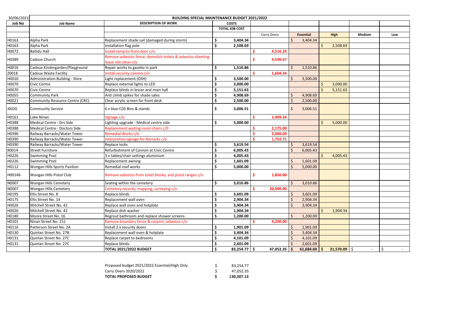| 30/06/2021    |                                        | <b>BUILDING SPECIAL MAINTENANCE BUDGET 2021/2022</b>                                |                     |                       |                |   |                  |   |                |        |     |
|---------------|----------------------------------------|-------------------------------------------------------------------------------------|---------------------|-----------------------|----------------|---|------------------|---|----------------|--------|-----|
| <b>Job No</b> | <b>Job Name</b>                        | <b>DESCRIPTION OF WORK</b>                                                          |                     | <b>COSTS</b>          |                |   |                  |   |                |        |     |
|               |                                        |                                                                                     |                     | <b>TOTAL JOB COST</b> |                |   |                  |   |                |        |     |
|               |                                        |                                                                                     |                     |                       | Carry Overs    |   | <b>Essential</b> |   | High           | Medium | Low |
| H0163         | Alpha Park                             | Replacement shade sail (damaged during storm)                                       |                     | 3,404.34              |                |   | 3,404.34         |   |                |        |     |
| H0163         | Alpha Park                             | Installation flag pole                                                              | \$                  | 2,508.69              |                |   |                  | Ś | 2,508.69       |        |     |
| H0072         | <b>Ballidu Hall</b>                    | Install ramp to front door c/o                                                      |                     |                       | 4,516.29       |   |                  |   |                |        |     |
| H0389         | Cadoux Church                          | Remove asbestos fence, demolish toilets & asbestos sheeting<br>leave site clean c/o |                     |                       | 4,549.67       |   |                  |   |                |        |     |
| H0016         | Cadoux Kindergarden/Playground         | Repair works to gazebo in park                                                      | \$                  | 1,510.86              |                |   | 1,510.86         |   |                |        |     |
| Z0018         | <b>Cadoux Waste Facility</b>           | Install security camera c/o                                                         |                     |                       | 1,604.34       |   |                  |   |                |        |     |
| H0010         | <b>Administration Building - Shire</b> | Light replacement (OSH)                                                             | \$                  | 3,500.00              |                |   | 3,500.00         |   |                |        |     |
| H0070         | Civic Centre                           | Replace external lights to LED                                                      | \$                  | 3,000.00              |                |   |                  |   | 3,000.00       |        |     |
| H0070         | Civic Centre                           | Replace blinds in lesser and main hall                                              | \$                  | 5,151.63              |                |   |                  |   | 5,151.63       |        |     |
| H0055         | <b>Community Park</b>                  | Anti climb spikes for shade sales                                                   | \$                  | 4,908.69              |                |   | 4,908.69         |   |                |        |     |
| H0021         | Community Resource Centre (CRC)        | Clear acrylic screen for front desk                                                 | \$                  | 2,500.00              |                |   | 2,500.00         |   |                |        |     |
| J0020         | <b>Community Service</b>               | 6 x blue CDS Bins & stands                                                          | \$                  | 3,006.51              |                | Ŝ | 3,006.51         |   |                |        |     |
| H0161         | ake Ninan                              | Signage c/o                                                                         |                     |                       | 1,404.34       |   |                  |   |                |        |     |
| H0388         | <b>Medical Centre - Drs Side</b>       | Lighting upgrade - Medical centre side                                              | \$                  | 5,000.00              |                |   |                  |   | 5,000.00       |        |     |
| H0388         | Medical Centre - Doctors Side          | Replacement waiting room chairs c/0                                                 |                     |                       | 2,175.00       |   |                  |   |                |        |     |
| H0390         | Railway Barracks/Water Tower           | Remedial Works c/o                                                                  |                     |                       | 5,000.00       |   |                  |   |                |        |     |
| H0390         | Railway Barracks/Water Tower           | Interpretive signage for Barracks c/o                                               |                     |                       | 1,752.71       |   |                  |   |                |        |     |
| H0390         | Railway Barracks/Water Tower           | Replace locks                                                                       | S                   | 3,619.54              |                |   | 3,619.54         |   |                |        |     |
| R0014         | <b>Street Furniture</b>                | Refurbishment of Cannon at Civic Centre                                             | \$                  | 6,005.43              |                |   | 6,005.43         |   |                |        |     |
| H0226         | <b>Swimming Pool</b>                   | 3 x tables/chair settings aluminium                                                 | \$                  | 4,005.43              |                |   |                  |   | 4,005.43       |        |     |
| H0226         | <b>Swimming Pool</b>                   | <b>Replacement awning</b>                                                           | \$                  | 1,601.09              |                |   | 1,601.09         |   |                |        |     |
| H0112         | Wongan Hills Sports Pavilion           | Remedial roof works                                                                 | \$                  | 5,000.00              |                |   | 5,000.00         |   |                |        |     |
| H00146        | Wongan Hills Pistol Club               | Remove asbestos from toilet blocks, and pistol ranges c/o                           |                     |                       | 1,850.00       |   |                  |   |                |        |     |
| N0007         | <b>Wongan Hills Cemetery</b>           | Seating within the cemetery                                                         | Ŝ.                  | 3,010.86              |                |   | 3,010.86         |   |                |        |     |
| N0007         | <b>Wongan Hills Cemetery</b>           | Cemetery records, mapping, surveying c/o                                            |                     |                       | 20,000.00      |   |                  |   |                |        |     |
| H0195         | Ellis Street No. 8                     | Replace blinds                                                                      | \$                  | 3,601.09              |                |   | 3,601.09         |   |                |        |     |
| H0175         | Ellis Street No. 14                    | Replacement wall oven                                                               | \$                  | 2,904.34              |                |   | 2,904.34         |   |                |        |     |
| H0026         | Mitchell Street No. 42                 | Replace wall oven and hotplate                                                      | $\ddot{\bm{\zeta}}$ | 3,904.34              |                |   | 3,904.34         |   |                |        |     |
| H0026         | Mitchell Street No. 42                 | Replace dish washer                                                                 |                     | 1,904.34              |                |   |                  |   | 1,904.34       |        |     |
| H0180         | Moore Street No. 16                    | Regrout bathroom and replace shower screens                                         |                     | 1,200.00              |                |   | 1,200.00         |   |                |        |     |
| H0101         | Ninan Street No. 151                   | Remove boundary fence & carport, asbestos c/o                                       |                     |                       | 4,200.00       |   |                  |   |                |        |     |
| H0116         | Patterson Street No. 2A                | Install 2 x security doors                                                          | \$                  | 1,901.09              |                |   | 1,901.09         |   |                |        |     |
| H0130         | Quinlan Street No. 27B                 | Replacement wall oven & hotplate                                                    | \$                  | 3,404.34              |                |   | 3,404.34         |   |                |        |     |
| H0131         | Quinlan Street No. 27C                 | Replace carpet to bedrooms                                                          | \$                  | 4,101.09              |                |   | 4,101.09         |   |                |        |     |
| H0131         | Quinlan Street No. 27C                 | Replace blinds                                                                      | \$                  | 2,601.09              |                |   | 2,601.09         |   |                |        |     |
|               |                                        | <b>TOTAL 2021/2022 BUDGET</b>                                                       | \$                  | $83,254.77$ \$        | $47,052.35$ \$ |   | $61,684.69$ \$   |   | $21,570.09$ \$ |        | \$  |

| TOTAL PROPOSED BUDGET                         | 130,307.13 |
|-----------------------------------------------|------------|
| Carry Overs 2020/2021                         | 47,052.35  |
| Proposed budget 2021/2022 Essential/High Only | 83.254.77  |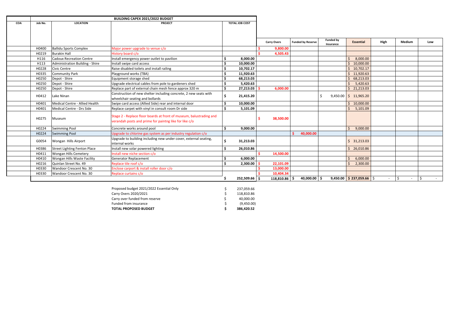|     |         | <b>BUILDING CAPEX 2021/2022 BUDGET</b> |                                                                     |    |                       |  |                    |                          |                  |                                 |        |                   |     |
|-----|---------|----------------------------------------|---------------------------------------------------------------------|----|-----------------------|--|--------------------|--------------------------|------------------|---------------------------------|--------|-------------------|-----|
| COA | Job No. | <b>LOCATION</b>                        | <b>PROJECT</b>                                                      |    | <b>TOTAL JOB COST</b> |  |                    |                          |                  |                                 |        |                   |     |
|     |         |                                        |                                                                     |    |                       |  |                    |                          |                  |                                 |        |                   |     |
|     |         |                                        |                                                                     |    |                       |  |                    |                          |                  |                                 |        |                   |     |
|     |         |                                        |                                                                     |    |                       |  |                    |                          | <b>Funded by</b> |                                 |        |                   |     |
|     |         |                                        |                                                                     |    |                       |  | <b>Carry Overs</b> | <b>Funded by Reserve</b> | Insurance        | <b>Essential</b>                | High   | Medium            | Low |
|     | H0400   | <b>Ballidu Sports Complex</b>          | Major power upgrade to venue c/o                                    |    |                       |  | 9,800.00           |                          |                  |                                 |        |                   |     |
|     | H0219   | <b>Burakin Hall</b>                    | History board c/o                                                   |    |                       |  | 4,505.43           |                          |                  |                                 |        |                   |     |
|     | H116    | <b>Cadoux Recreation Centre</b>        | Install emergency power outlet to pavilion                          |    | 8,000.00              |  |                    |                          |                  | 8,000.00                        |        |                   |     |
|     | H113    | Administration Building - Shire        | Install swipe card access                                           |    | 10,000.00             |  |                    |                          |                  | \$10,000.00                     |        |                   |     |
|     | H0228   | Civic Centre                           | Raise disabled toilets and install railing                          |    | 10,702.17             |  |                    |                          |                  | \$10,702.17                     |        |                   |     |
|     | H0335   | <b>Community Park</b>                  | Playground works (TBA)                                              |    | 11,920.63             |  |                    |                          |                  | \$11,920.63                     |        |                   |     |
|     | H0250   | Depot - Shire                          | Equipment storage shed                                              |    | 68,213.03             |  |                    |                          |                  | Ŝ.<br>68,213.03                 |        |                   |     |
|     | H0250   | Depot - Shire                          | Upgrade electrical cables from pole to gardeners shed               |    | 5,420.63              |  |                    |                          |                  | 5,420.63                        |        |                   |     |
|     | H0250   | Depot - Shire                          | Replace part of external chain mesh fence approx 320 m              | \$ | 27,213.03             |  | 6,000.00           |                          |                  | \$21,213.03                     |        |                   |     |
|     |         |                                        | Construction of new shelter including concrete, 2 new seats with    |    | 21,415.20             |  |                    |                          |                  |                                 |        |                   |     |
|     | H0412   | Lake Ninan                             | wheelchair seating and bollards                                     |    |                       |  |                    |                          |                  | $9,450.00$ \$ 11,965.20         |        |                   |     |
|     | H0401   | Medical Centre - Allied Health         | Swipe card access (Allied Side) rear and internal door              |    | 10,000.00             |  |                    |                          |                  | \$10,000.00                     |        |                   |     |
|     | H0401   | Medical Centre - Drs Side              | Replace carpet with vinyl in consult room Dr side                   |    | 5,101.09              |  |                    |                          |                  | 5,101.09                        |        |                   |     |
|     | H0275   | Museum                                 | Stage 2 - Replace floor boards at front of museum, balustrading and |    |                       |  | 38,500.00          |                          |                  |                                 |        |                   |     |
|     |         |                                        | verandah posts and prime for paintng like for like c/o              |    |                       |  |                    |                          |                  |                                 |        |                   |     |
|     | H0224   | <b>Swimming Pool</b>                   | Concrete works around pool                                          |    | 9,000.00              |  |                    |                          |                  | 9,000.00                        |        |                   |     |
|     | H0224   | <b>Swimming Pool</b>                   | Upgrade to chlorine gas system as per industry regulation c/o       |    |                       |  |                    | 40,000.00                |                  |                                 |        |                   |     |
|     |         |                                        | Upgrade to building including new under cover, external seating,    |    |                       |  |                    |                          |                  |                                 |        |                   |     |
|     | G0054   | Wongan Hills Airport                   | internal works                                                      | S. | 31,213.03             |  |                    |                          |                  | \$31,213.03                     |        |                   |     |
|     | H0386   | <b>Street Lighting Fenton Place</b>    | Install new solar powered lighting                                  |    | 26,010.86             |  |                    |                          |                  | \$26,010.86                     |        |                   |     |
|     | H0411   | <b>Wongan Hills Cemetery</b>           | Install new niche section c/o                                       |    |                       |  | 14,500.00          |                          |                  |                                 |        |                   |     |
|     | H0410   | Wongan Hills Waste Facility            | <b>Generator Replacement</b>                                        |    | 6,000.00              |  |                    |                          |                  | 6,000.00                        |        |                   |     |
|     | H0216   | Quinlan Street No. 49                  | Replace tile roof c/o                                               |    | $2,300.00$ \$         |  | 22,101.09          |                          |                  | 2,300.00                        |        |                   |     |
|     | H0330   | Wandoor Crescent No. 30                | Enclose carport & install roller door c/o                           |    |                       |  | 13,000.00          |                          |                  |                                 |        |                   |     |
|     | H0330   | Wandoor Crescent No. 30                | Replace curtains c/o                                                |    |                       |  | 10,404.34          |                          |                  |                                 |        |                   |     |
|     |         |                                        |                                                                     |    | 252,509.66 \$         |  | $118,810.86$   \$  | $40,000.00$ \$           |                  | $9,450.00$   \$ 237,059.66   \$ | $\sim$ | $\zeta$<br>$\sim$ | \$  |

| Proposed budget 2021/2022 Essential Only | 237,059.66 |
|------------------------------------------|------------|
| Carry Overs 2020/2021                    | 118.810.86 |
| Carry over funded from reserve           | 40.000.00  |
| Funded from insurance                    | (9,450.00) |
| <b>TOTAL PROPOSED BUDGET</b>             | 386.420.52 |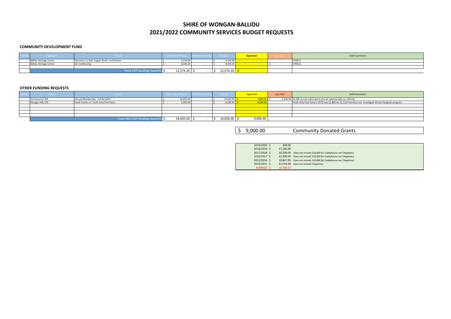| Applicant                      | Project                                      | Total Cost of Project   Additional Fund |  | Request         | Approveo | <b>Last Year</b> | <b>Staff Comments</b> |
|--------------------------------|----------------------------------------------|-----------------------------------------|--|-----------------|----------|------------------|-----------------------|
| <b>Ballidu Heritage Centre</b> | Flyscreens to Hall, Supper Room, and Kitchen | 1,136.00                                |  | <b>↓,136.00</b> |          |                  | ICR9611               |
| <b>Ballidu Heritage Centre</b> | <b>Air Conditioning</b>                      | 8,438.20                                |  | 8,438.20        |          |                  | <b>ICR9612</b>        |
|                                |                                              |                                         |  |                 |          |                  |                       |
|                                | Total CDF funding requests \$                | 12,574.20                               |  | 12,574.20       |          |                  |                       |

| Project          | Project                                | Total Cost of Project   Additional Funding |  | Request         | Approved | Last Year | <b>Staff Comments</b>                                                     |
|------------------|----------------------------------------|--------------------------------------------|--|-----------------|----------|-----------|---------------------------------------------------------------------------|
| Astrotourism WA  | Annual Membership - Full Benefits      | 10,650.00                                  |  | 10,650.00       | 000.00   |           | 4,500.00 \$3,300 annual subscription plus all optional add-ons offered    |
| Wongan Hills CRC | Youth Events inc Youth Only Pool Party | 6,000.00                                   |  | 6,000.00        | 6,000.0  |           | Youth Only Pool Party in 2019 was \$2,800 inc \$1,120 Pool Hire cost. Inv |
|                  |                                        |                                            |  |                 |          |           |                                                                           |
|                  |                                        |                                            |  |                 |          |           |                                                                           |
|                  |                                        |                                            |  |                 |          |           |                                                                           |
|                  |                                        |                                            |  |                 |          |           |                                                                           |
|                  | Total Non CDF funding requests \$      | $16,650.00$ \$                             |  | $16,650.00$   : | 9,000.00 |           |                                                                           |

\$ 9,000.00 Community Donated Grants

2017/2018 20,200.00 \$ *Does not include \$18,000 for Cubbyhouse nor Chaplaincy* 2016/2017 21,200.00 \$ *Does not include \$18,000 for Cubbyhouse nor Chaplaincy*

| 2019/2020 \$ | 300.00    |                                                      |
|--------------|-----------|------------------------------------------------------|
| 2018/2019 \$ | 17,100.00 |                                                      |
| 2017/2018 \$ |           | 20,200.00 Does not include \$18,000 for Cubbyhouse n |
| 2016/2017 \$ |           | 21,200.00 Does not include \$18,000 for Cubbyhouse n |
| 2015/2016 \$ |           | 19,847.00 Does not include \$18,000 for Cubbyhouse n |
| 2014/2015 \$ |           | 21,554.00 Does not include Chaplaincy                |
| AVERAGE \$   | 16,700.17 |                                                      |

Womes CRC Youth Events Inc.<br>S 51,120 Pool Hire cost. Investigate School Hangouts program

2015/2016 19,847.00 \$ *Does not include \$18,000 for Cubbyhouse nor Chaplaincy*

### **2021/2022 COMMUNITY SERVICES BUDGET REQUESTS SHIRE OF WONGAN‐BALLIDU**

#### **COMMUNITY DEVELOPMENT FUND**

#### **OTHER FUNDING REQUESTS**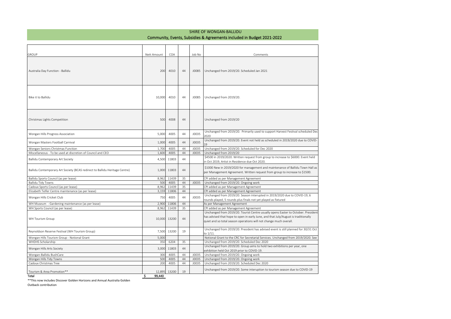#### Community, Events, Subsidies & Agreements included in Budget 2021‐2022 SHIRE OF WONGAN‐BALLIDU

| <b>GROUP</b>                                                                | Nett Amount           | COA   |    | Job No | Comments                                                                                                                                                                                                                                      |
|-----------------------------------------------------------------------------|-----------------------|-------|----|--------|-----------------------------------------------------------------------------------------------------------------------------------------------------------------------------------------------------------------------------------------------|
| Australia Day Function - Ballidu                                            | 200                   | 4010  | 44 | J0085  | Unchanged from 2019/20. Scheduled Jan 2021                                                                                                                                                                                                    |
| Bike it to Ballidu                                                          | 10,000                | 4010  | 44 | J0085  | Unchanged from 2019/20.                                                                                                                                                                                                                       |
| Christmas Lights Competition                                                | 500                   | 4008  | 44 |        | Unchanged from 2019/20                                                                                                                                                                                                                        |
| Wongan Hills Progress Association                                           | 5,000                 | 4005  | 44 | J0035  | Unchanged from 2019/20. Primarily used to support Harvest Festival scheduled Dec<br>2020                                                                                                                                                      |
| Wongan Masters Football Carnival                                            | 1,000                 | 4005  | 44 | J0035  | Unchanged from 2019/20. Event not held as scheduled in 2019/2020 due to COVID-                                                                                                                                                                |
| Wongan Seniors Christmas Function                                           | 1,700                 | 4005  | 44 | J0035  | Unchanged from 2019/20. Scheduled for Dec 2020                                                                                                                                                                                                |
| Miscellaneous - To be used at discretion of Council and CEO                 | 1,600                 | 4005  | 44 | J0035  | Unchanged from 2019/20                                                                                                                                                                                                                        |
| Ballidu Contemporary Art Society                                            | 4,500                 | 11803 | 44 |        | \$4500 in 2019/2020. Written request from group to increase to \$6000. Event held<br>in Oct 2019, Artist in Residence due Oct 2020.                                                                                                           |
| Ballidu Contemporary Art Society (BCAS redirect to Ballidu Heritage Centre) | 1,000                 | 11803 | 44 |        | \$1000 New in 2019/2020 for management and maintenance of Ballidu Town Hall as<br>per Management Agreement. Written request from group to increase to \$1500.                                                                                 |
| Ballidu Sports Council (as per lease)                                       | 8,962                 | 11439 | 35 |        | CPI added as per Management Agreement                                                                                                                                                                                                         |
| <b>Ballidu Tidy Towns</b>                                                   | 500                   | 4005  | 44 | J0035  | Unchanged from 2019/20. Ongoing work                                                                                                                                                                                                          |
| Cadoux Sports Council (as per lease)                                        | 8,962                 | 11439 | 35 |        | CPI added as per Management Agreement                                                                                                                                                                                                         |
| Elizabeth Telfer Centre maintenance (as per lease)                          | 3,159                 | 11806 | 44 |        | CPI added as per Management Agreement                                                                                                                                                                                                         |
| Wongan Hills Cricket Club                                                   | 750                   | 4005  | 44 | J0035  | Unchanged from 2019/20. Season interupted in 2019/2020 due to COVID-19, 6<br>rounds played, 5 rounds plus finals not yet played as fixtured                                                                                                   |
| WH Museum - Gardening maintenance (as per lease)                            | 2,900                 | 11806 | 44 |        | As per Management Agreement                                                                                                                                                                                                                   |
| WH Sports Council (as per lease)                                            | 8,962                 | 11439 | 35 |        | CPI added as per Management Agreement                                                                                                                                                                                                         |
| WH Tourism Group                                                            | 10,000                | 13200 | 44 |        | Unchanged from 2019/20. Tourist Centre usually opens Easter to October. President<br>has advised that hope to open in early June, and that July/August is traditionally<br>quiet and so total season operations will not change much overall. |
| Reynoldson Reserve Festival (WH Tourism Group)                              | 7,500                 | 13200 | 19 |        | Unchanged from 2019/20. President has advised event is still planned for 30/31 Oct<br>to 1/11                                                                                                                                                 |
| Wongan Hills Tourism Group - Notional Grant                                 | 5,000                 |       |    |        | Notional Grant to the CRC for Secretarial Services. Unchanged from 2019/2020. See                                                                                                                                                             |
| WHDHS Scholarship                                                           | 350                   | 6204  | 35 |        | Unchanged from 2019/20. Scheduled Dec 2020                                                                                                                                                                                                    |
| Wongan Hills Arts Society                                                   | 3,000                 | 11803 | 44 |        | Unchanged from 2019/20. Group aims to hold two exhibitions per year, one<br>exhibition held Oct 2019 prior to COVID-19.                                                                                                                       |
| Wongan-Ballidu BushCare                                                     | 300                   | 4005  | 44 | J0035  | Unchanged from 2019/20. Ongoing work                                                                                                                                                                                                          |
| Wongan Hills Tidy Towns                                                     | 500                   | 4005  | 44 | J0035  | Unchanged from 2019/20. Ongoing work                                                                                                                                                                                                          |
| Cadoux Christmas Tree                                                       | 200                   | 4005  | 44 | J0035  | Unchanged from 2019/20. Scheduled Dec 2020                                                                                                                                                                                                    |
| Tourism & Area Promotion**<br>Total                                         | 12,895<br>Ś<br>99.440 | 13200 | 19 |        | Unchanged from 2019/20. Some interuption to tourism season due to COVID-19                                                                                                                                                                    |
|                                                                             |                       |       |    |        |                                                                                                                                                                                                                                               |

\*\*This now includes Discover Golden Horizons and Annual Australia Golden

Outback contribution